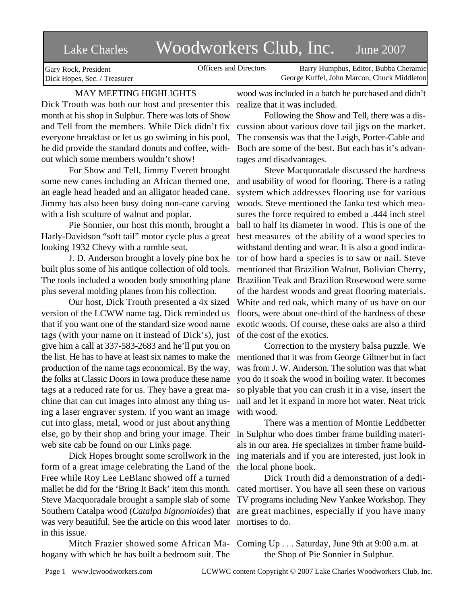# Lake Charles Woodworkers Club, Inc. June 2007

Officers and Directors Barry Humphus, Editor, Bubba Cheramie George Kuffel, John Marcon, Chuck Middleton

Gary Rock, President Dick Hopes, Sec. / Treasurer

## MAY MEETING HIGHLIGHTS

Dick Trouth was both our host and presenter this month at his shop in Sulphur. There was lots of Show and Tell from the members. While Dick didn't fix cussion about various dove tail jigs on the market. everyone breakfast or let us go swiming in his pool, he did provide the standard donuts and coffee, without which some members wouldn't show!

For Show and Tell, Jimmy Everett brought some new canes including an African themed one, an eagle head headed and an alligator headed cane. Jimmy has also been busy doing non-cane carving with a fish sculture of walnut and poplar.

Pie Sonnier, our host this month, brought a Harly-Davidson "soft tail" motor cycle plus a great looking 1932 Chevy with a rumble seat.

J. D. Anderson brought a lovely pine box he built plus some of his antique collection of old tools. The tools included a wooden body smoothing plane plus several molding planes from his collection.

Our host, Dick Trouth presented a 4x sized version of the LCWW name tag. Dick reminded us that if you want one of the standard size wood name tags (with your name on it instead of Dick's), just give him a call at 337-583-2683 and he'll put you on the list. He has to have at least six names to make the mentioned that it was from George Giltner but in fact production of the name tags economical. By the way, the folks at Classic Doors in Iowa produce these name tags at a reduced rate for us. They have a great machine that can cut images into almost any thing using a laser engraver system. If you want an image cut into glass, metal, wood or just about anything else, go by their shop and bring your image. Their web site cab be found on our Links page.

Dick Hopes brought some scrollwork in the form of a great image celebrating the Land of the Free while Roy Lee LeBlanc showed off a turned mallet he did for the 'Bring It Back' item this month. cated mortiser. You have all seen these on various Steve Macquoradale brought a sample slab of some Southern Catalpa wood (*Catalpa bignonioides*) that are great machines, especially if you have many was very beautiful. See the article on this wood later in this issue.

hogany with which he has built a bedroom suit. The

wood was included in a batch he purchased and didn't realize that it was included.

Following the Show and Tell, there was a dis-The consensis was that the Leigh, Porter-Cable and Boch are some of the best. But each has it's advantages and disadvantages.

Steve Macquoradale discussed the hardness and usability of wood for flooring. There is a rating system which addresses flooring use for various woods. Steve mentioned the Janka test which measures the force required to embed a .444 inch steel ball to half its diameter in wood. This is one of the best measures of the ability of a wood species to withstand denting and wear. It is also a good indicator of how hard a species is to saw or nail. Steve mentioned that Brazilion Walnut, Bolivian Cherry, Brazilion Teak and Brazilion Rosewood were some of the hardest woods and great flooring materials. White and red oak, which many of us have on our floors, were about one-third of the hardness of these exotic woods. Of course, these oaks are also a third of the cost of the exotics.

Correction to the mystery balsa puzzle. We was from J. W. Anderson. The solution was that what you do it soak the wood in boiling water. It becomes so plyable that you can crush it in a vise, insert the nail and let it expand in more hot water. Neat trick with wood.

There was a mention of Montie Leddbetter in Sulphur who does timber frame building materials in our area. He specializes in timber frame building materials and if you are interested, just look in the local phone book.

Dick Trouth did a demonstration of a dedi-TV programs including New Yankee Workshop. They mortises to do.

Mitch Frazier showed some African Ma-Coming Up . . . Saturday, June 9th at 9:00 a.m. at the Shop of Pie Sonnier in Sulphur.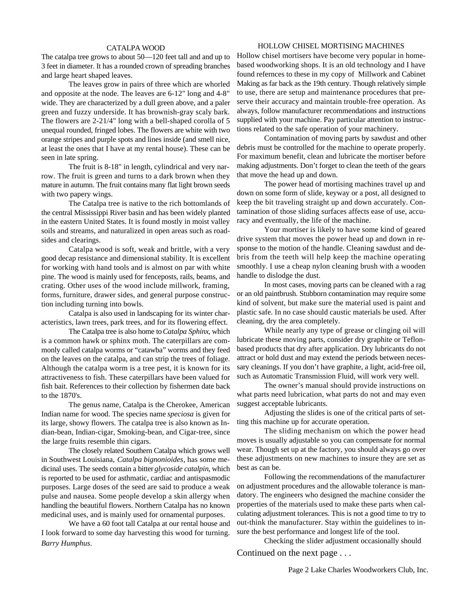#### CATALPA WOOD

The catalpa tree grows to about 50—120 feet tall and and up to 3 feet in diameter. It has a rounded crown of spreading branches and large heart shaped leaves.

The leaves grow in pairs of three which are whorled and opposite at the node. The leaves are 6-12" long and 4-8" wide. They are characterized by a dull green above, and a paler green and fuzzy underside. It has brownish-gray scaly bark. The flowers are 2-21/4" long with a bell-shaped corolla of 5 unequal rounded, fringed lobes. The flowers are white with two orange stripes and purple spots and lines inside (and smell nice, at least the ones that I have at my rental house). These can be seen in late spring.

The fruit is 8-18" in length, cylindrical and very narrow. The fruit is green and turns to a dark brown when they mature in autumn. The fruit contains many flat light brown seeds with two papery wings.

The Catalpa tree is native to the rich bottomlands of the central Mississippi River basin and has been widely planted in the eastern United States. It is found mostly in moist valley soils and streams, and naturalized in open areas such as roadsides and clearings.

Catalpa wood is soft, weak and brittle, with a very good decap resistance and dimensional stability. It is excellent for working with hand tools and is almost on par with white pine. The wood is mainly used for fenceposts, rails, beams, and crating. Other uses of the wood include millwork, framing, forms, furniture, drawer sides, and general purpose construction including turning into bowls.

Catalpa is also used in landscaping for its winter characteristics, lawn trees, park trees, and for its flowering effect.

The Catalpa tree is also home to *Catalpa Sphinx*, which is a common hawk or sphinx moth. The caterpillars are commonly called catalpa worms or "catawba" worms and they feed on the leaves on the catalpa, and can strip the trees of foliage. Although the catalpa worm is a tree pest, it is known for its attractiveness to fish. These caterpillars have been valued for fish bait. References to their collection by fishermen date back to the 1870's.

The genus name, Catalpa is the Cherokee, American Indian name for wood. The species name *speciosa* is given for its large, showy flowers. The catalpa tree is also known as Indian-bean, Indian-cigar, Smoking-bean, and Cigar-tree, since the large fruits resemble thin cigars.

The closely related Southern Catalpa which grows well in Southwest Louisiana, *Catalpa bignonioides*, has some medicinal uses. The seeds contain a bitter *glycoside catalpin*, which is reported to be used for asthmatic, cardiac and antispasmodic purposes. Large doses of the seed are said to produce a weak pulse and nausea. Some people develop a skin allergy when handling the beautiful flowers. Northern Catalpa has no known medicinal uses, and is mainly used for ornamental purposes.

We have a 60 foot tall Catalpa at our rental house and I look forward to some day harvesting this wood for turning. *Barry Humphus*.

#### HOLLOW CHISEL MORTISING MACHINES

Hollow chisel mortisers have become very popular in homebased woodworking shops. It is an old technology and I have found refernces to these in my copy of Millwork and Cabinet Making as far back as the 19th century. Though relatively simple to use, there are setup and maintenance procedures that preserve their accuracy and maintain trouble-free operation. As always, follow manufacturer recommendations and instructions supplied with your machine. Pay particular attention to instructions related to the safe operation of your machinery.

Contamination of moving parts by sawdust and other debris must be controlled for the machine to operate properly. For maximum benefit, clean and lubricate the mortiser before making adjustments. Don't forget to clean the teeth of the gears that move the head up and down.

The power head of mortising machines travel up and down on some form of slide, keyway or a post, all designed to keep the bit traveling straight up and down accurately. Contamination of those sliding surfaces affects ease of use, accuracy and eventually, the life of the machine.

Your mortiser is likely to have some kind of geared drive system that moves the power head up and down in response to the motion of the handle. Cleaning sawdust and debris from the teeth will help keep the machine operating smoothly. I use a cheap nylon cleaning brush with a wooden handle to dislodge the dust.

In most cases, moving parts can be cleaned with a rag or an old paintbrush. Stubborn contamination may require some kind of solvent, but make sure the material used is paint and plastic safe. In no case should caustic materials be used. After cleaning, dry the area completely.

While nearly any type of grease or clinging oil will lubricate these moving parts, consider dry graphite or Teflonbased products that dry after application. Dry lubricants do not attract or hold dust and may extend the periods between necessary cleanings. If you don't have graphite, a light, acid-free oil, such as Automatic Transmission Fluid, will work very well.

The owner's manual should provide instructions on what parts need lubrication, what parts do not and may even suggest acceptable lubricants.

Adjusting the slides is one of the critical parts of setting this machine up for accurate operation.

The sliding mechanism on which the power head moves is usually adjustable so you can compensate for normal wear. Though set up at the factory, you should always go over these adjustments on new machines to insure they are set as best as can be.

Following the recommendations of the manufacturer on adjustment procedures and the allowable tolerance is mandatory. The engineers who designed the machine consider the properties of the materials used to make these parts when calculating adjustment tolerances. This is not a good time to try to out-think the manufacturer. Stay within the guidelines to insure the best performance and longest life of the tool.

Checking the slider adjustment occasionally should

Continued on the next page . . .